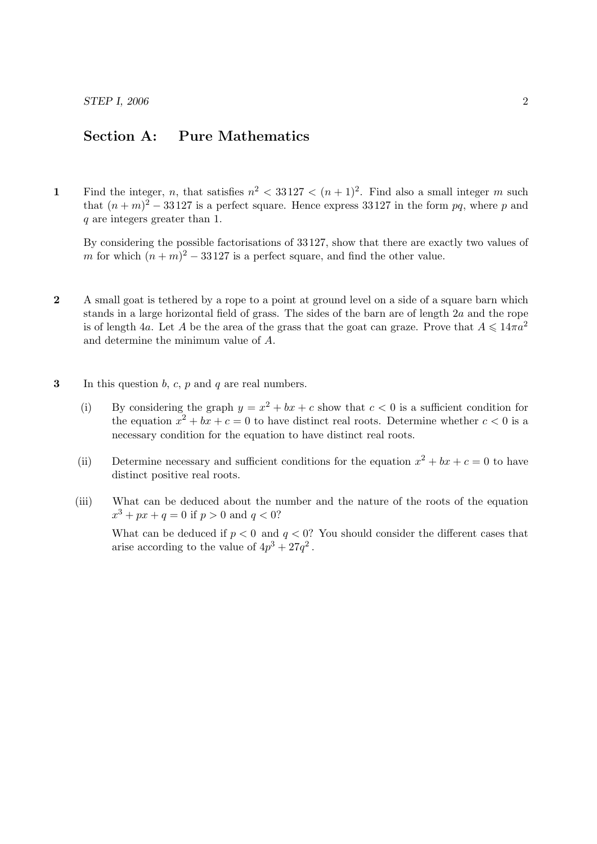## Section A: Pure Mathematics

1 Find the integer, n, that satisfies  $n^2 < 33127 < (n+1)^2$ . Find also a small integer m such that  $(n+m)^2 - 33127$  is a perfect square. Hence express 33127 in the form  $pq$ , where p and q are integers greater than 1.

By considering the possible factorisations of 33 127, show that there are exactly two values of m for which  $(n+m)^2 - 33127$  is a perfect square, and find the other value.

- 2 A small goat is tethered by a rope to a point at ground level on a side of a square barn which stands in a large horizontal field of grass. The sides of the barn are of length 2a and the rope is of length 4a. Let A be the area of the grass that the goat can graze. Prove that  $A \leq 14\pi a^2$ and determine the minimum value of A.
- 3 In this question  $b, c, p$  and  $q$  are real numbers.
	- (i) By considering the graph  $y = x^2 + bx + c$  show that  $c < 0$  is a sufficient condition for the equation  $x^2 + bx + c = 0$  to have distinct real roots. Determine whether  $c < 0$  is a necessary condition for the equation to have distinct real roots.
	- (ii) Determine necessary and sufficient conditions for the equation  $x^2 + bx + c = 0$  to have distinct positive real roots.
	- (iii) What can be deduced about the number and the nature of the roots of the equation  $x^3 + px + q = 0$  if  $p > 0$  and  $q < 0$ ?

What can be deduced if  $p < 0$  and  $q < 0$ ? You should consider the different cases that arise according to the value of  $4p^3 + 27q^2$ .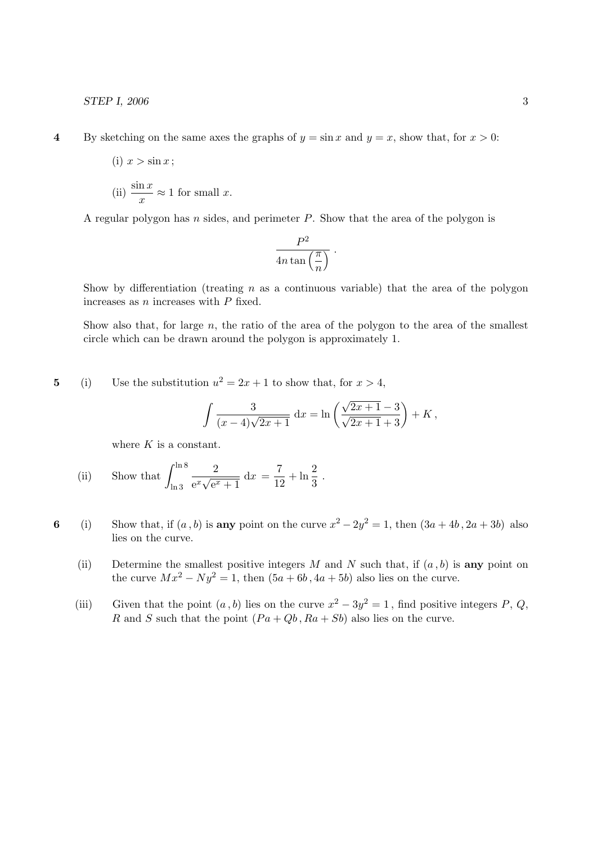4 By sketching on the same axes the graphs of  $y = \sin x$  and  $y = x$ , show that, for  $x > 0$ :

- (i)  $x > \sin x$ ;
- (ii)  $\frac{\sin x}{x} \approx 1$  for small x.

A regular polygon has  $n$  sides, and perimeter  $P$ . Show that the area of the polygon is

$$
\frac{P^2}{4n\tan\left(\frac{\pi}{n}\right)}.
$$

Show by differentiation (treating  $n$  as a continuous variable) that the area of the polygon increases as  $n$  increases with  $P$  fixed.

Show also that, for large n, the ratio of the area of the polygon to the area of the smallest circle which can be drawn around the polygon is approximately 1.

5 (i) Use the substitution  $u^2 = 2x + 1$  to show that, for  $x > 4$ ,

$$
\int \frac{3}{(x-4)\sqrt{2x+1}} dx = \ln\left(\frac{\sqrt{2x+1}-3}{\sqrt{2x+1}+3}\right) + K,
$$

where  $K$  is a constant.

(ii) Show that 
$$
\int_{\ln 3}^{\ln 8} \frac{2}{e^x \sqrt{e^x + 1}} dx = \frac{7}{12} + \ln \frac{2}{3}.
$$

- 6 (i) Show that, if  $(a, b)$  is any point on the curve  $x^2 2y^2 = 1$ , then  $(3a + 4b, 2a + 3b)$  also lies on the curve.
	- (ii) Determine the smallest positive integers M and N such that, if  $(a, b)$  is any point on the curve  $Mx^2 - Ny^2 = 1$ , then  $(5a + 6b, 4a + 5b)$  also lies on the curve.
	- (iii) Given that the point  $(a, b)$  lies on the curve  $x^2 3y^2 = 1$ , find positive integers P, Q, R and S such that the point  $(Pa + Qb, Ra + Sb)$  also lies on the curve.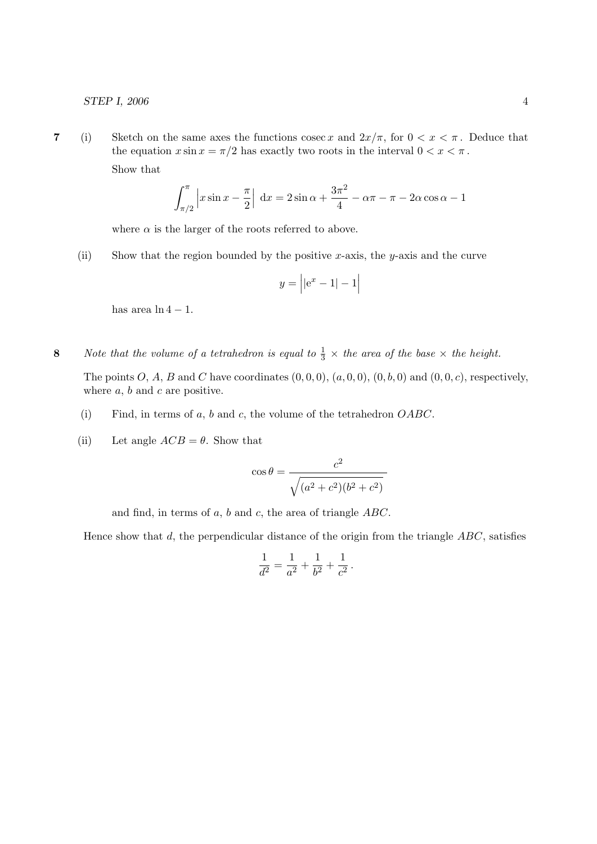## STEP I, 2006 4

7 (i) Sketch on the same axes the functions cosec x and  $2x/\pi$ , for  $0 < x < \pi$ . Deduce that the equation  $x \sin x = \pi/2$  has exactly two roots in the interval  $0 < x < \pi$ . Show that

$$
\int_{\pi/2}^{\pi} \left| x \sin x - \frac{\pi}{2} \right| dx = 2 \sin \alpha + \frac{3\pi^2}{4} - \alpha\pi - \pi - 2\alpha \cos \alpha - 1
$$

where  $\alpha$  is the larger of the roots referred to above.

(ii) Show that the region bounded by the positive x-axis, the y-axis and the curve

$$
y = \left| |e^x - 1| - 1 \right|
$$

has area  $\ln 4 - 1$ .

8 Note that the volume of a tetrahedron is equal to  $\frac{1}{3} \times$  the area of the base  $\times$  the height.

The points O, A, B and C have coordinates  $(0, 0, 0)$ ,  $(a, 0, 0)$ ,  $(0, b, 0)$  and  $(0, 0, c)$ , respectively, where  $a, b$  and  $c$  are positive.

- (i) Find, in terms of a, b and c, the volume of the tetrahedron  $OABC$ .
- (ii) Let angle  $ACB = \theta$ . Show that

$$
\cos \theta = \frac{c^2}{\sqrt{(a^2 + c^2)(b^2 + c^2)}}
$$

and find, in terms of  $a, b$  and  $c$ , the area of triangle  $ABC$ .

Hence show that d, the perpendicular distance of the origin from the triangle  $ABC$ , satisfies

$$
\frac{1}{d^2} = \frac{1}{a^2} + \frac{1}{b^2} + \frac{1}{c^2}.
$$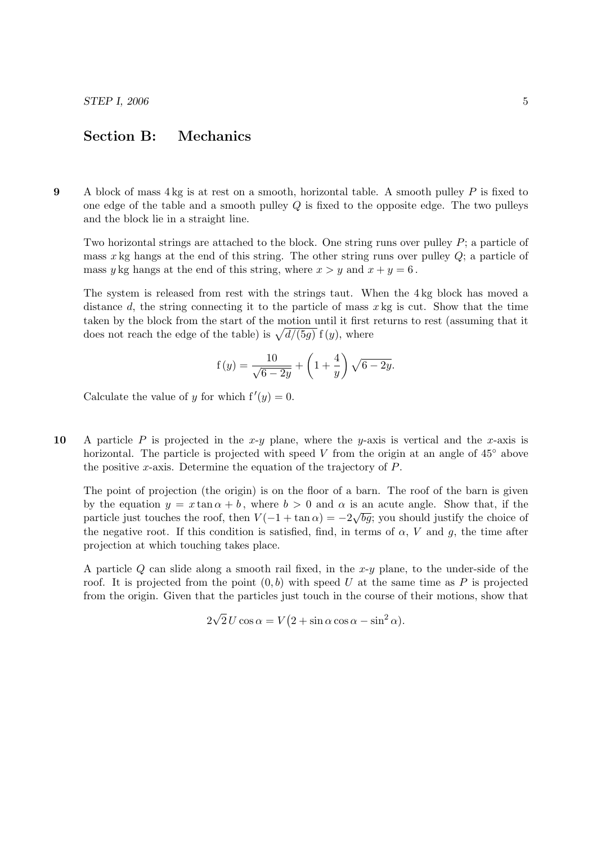## Section B: Mechanics

9 A block of mass  $4 \text{ kg}$  is at rest on a smooth, horizontal table. A smooth pulley P is fixed to one edge of the table and a smooth pulley  $Q$  is fixed to the opposite edge. The two pulleys and the block lie in a straight line.

Two horizontal strings are attached to the block. One string runs over pulley  $P$ ; a particle of mass x kg hangs at the end of this string. The other string runs over pulley  $Q$ ; a particle of mass y kg hangs at the end of this string, where  $x > y$  and  $x + y = 6$ .

The system is released from rest with the strings taut. When the 4 kg block has moved a distance d, the string connecting it to the particle of mass  $x \text{ kg}$  is cut. Show that the time taken by the block from the start of the motion until it first returns to rest (assuming that it does not reach the edge of the table) is  $\sqrt{d/(5g)} f(y)$ , where

$$
f(y) = \frac{10}{\sqrt{6 - 2y}} + \left(1 + \frac{4}{y}\right)\sqrt{6 - 2y}.
$$

Calculate the value of y for which  $f'(y) = 0$ .

10 A particle P is projected in the x-y plane, where the y-axis is vertical and the x-axis is horizontal. The particle is projected with speed V from the origin at an angle of  $45°$  above the positive x-axis. Determine the equation of the trajectory of  $P$ .

The point of projection (the origin) is on the floor of a barn. The roof of the barn is given by the equation  $y = x \tan \alpha + b$ , where  $b > 0$  and  $\alpha$  is an acute angle. Show that, if the particle just touches the roof, then  $V(-1 + \tan \alpha) = -2\sqrt{bg}$ ; you should justify the choice of the negative root. If this condition is satisfied, find, in terms of  $\alpha$ , V and q, the time after projection at which touching takes place.

A particle  $Q$  can slide along a smooth rail fixed, in the x-y plane, to the under-side of the roof. It is projected from the point  $(0, b)$  with speed U at the same time as P is projected from the origin. Given that the particles just touch in the course of their motions, show that

$$
2\sqrt{2}U\cos\alpha = V(2 + \sin\alpha\cos\alpha - \sin^2\alpha).
$$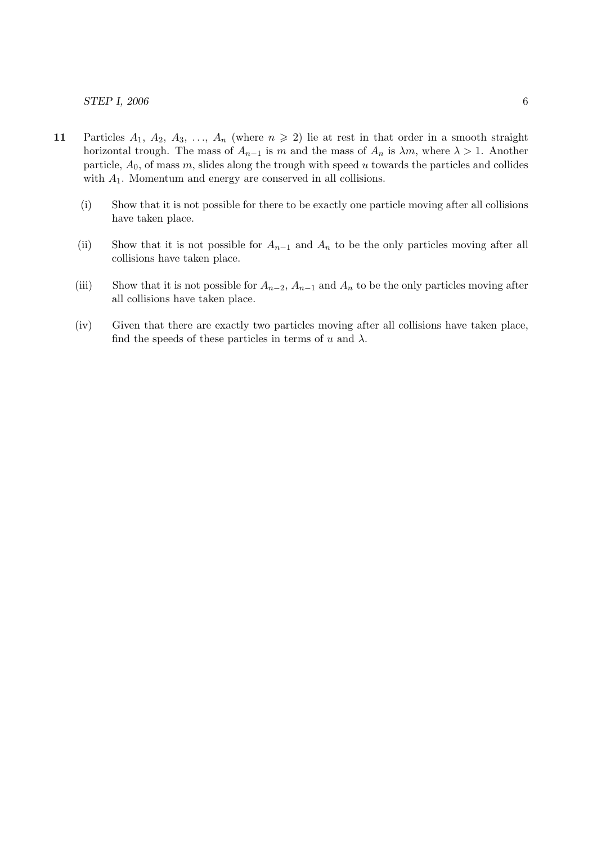- 11 Particles  $A_1, A_2, A_3, \ldots, A_n$  (where  $n \geq 2$ ) lie at rest in that order in a smooth straight horizontal trough. The mass of  $A_{n-1}$  is m and the mass of  $A_n$  is  $\lambda m$ , where  $\lambda > 1$ . Another particle,  $A_0$ , of mass m, slides along the trough with speed u towards the particles and collides with A1. Momentum and energy are conserved in all collisions.
	- (i) Show that it is not possible for there to be exactly one particle moving after all collisions have taken place.
	- (ii) Show that it is not possible for  $A_{n-1}$  and  $A_n$  to be the only particles moving after all collisions have taken place.
	- (iii) Show that it is not possible for  $A_{n-2}$ ,  $A_{n-1}$  and  $A_n$  to be the only particles moving after all collisions have taken place.
	- (iv) Given that there are exactly two particles moving after all collisions have taken place, find the speeds of these particles in terms of u and  $\lambda$ .